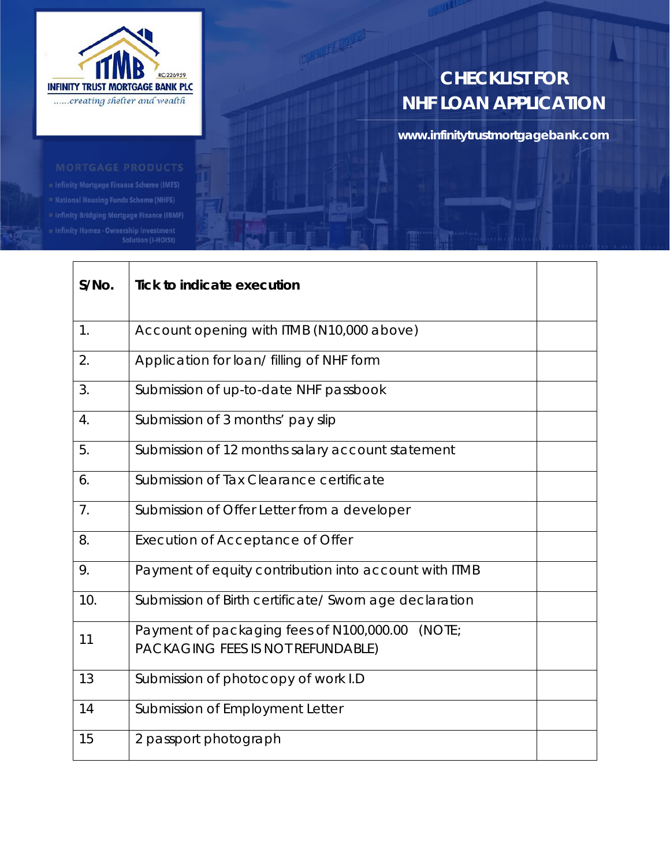

# **CHECKLIST FOR NHF LOAN APPLICATION**

**www.infinitytrustmortgagebank.com**

lnfinity Homes - Ownership Investment -<br>Solution (I-HOISt)

| $S/NO$ .       | <b>Tick to indicate execution</b>                                                       |  |
|----------------|-----------------------------------------------------------------------------------------|--|
| 1.             | Account opening with ITMB (N10,000 above)                                               |  |
| 2.             | Application for loan/ filling of NHF form                                               |  |
| 3.             | Submission of up-to-date NHF passbook                                                   |  |
| 4.             | Submission of 3 months' pay slip                                                        |  |
| 5.             | Submission of 12 months salary account statement                                        |  |
| 6.             | Submission of Tax Clearance certificate                                                 |  |
| 7 <sub>1</sub> | Submission of Offer Letter from a developer                                             |  |
| 8.             | Execution of Acceptance of Offer                                                        |  |
| 9.             | Payment of equity contribution into account with ITMB                                   |  |
| 10.            | Submission of Birth certificate/ Sworn age declaration                                  |  |
| 11             | Payment of packaging fees of N100,000.00<br>(NOTE;<br>PACKAGING FEES IS NOT REFUNDABLE) |  |
| 13             | Submission of photocopy of work I.D                                                     |  |
| 14             | Submission of Employment Letter                                                         |  |
| 15             | 2 passport photograph                                                                   |  |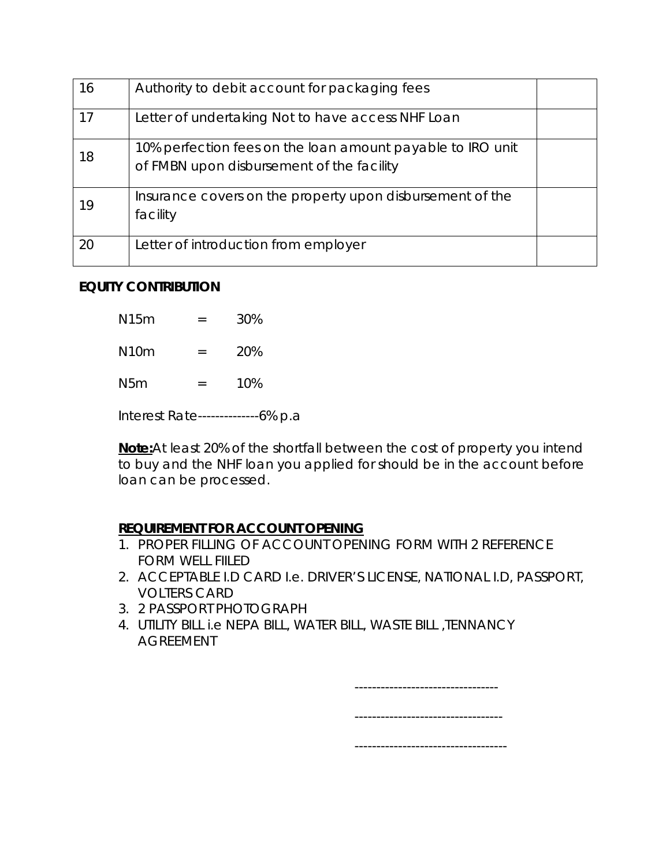| 16 | Authority to debit account for packaging fees                                                           |  |
|----|---------------------------------------------------------------------------------------------------------|--|
| 17 | Letter of undertaking Not to have access NHF Loan                                                       |  |
| 18 | 10% perfection fees on the loan amount payable to IRO unit<br>of FMBN upon disbursement of the facility |  |
| 19 | Insurance covers on the property upon disbursement of the<br>facility                                   |  |
| 20 | Letter of introduction from employer                                                                    |  |

### **EQUITY CONTRIBUTION**

| N15m                              |     | 30% |  |  |  |
|-----------------------------------|-----|-----|--|--|--|
| N10m                              | $=$ | 20% |  |  |  |
| N5m                               | $=$ | 10% |  |  |  |
| Interest Rate--------------6% p.a |     |     |  |  |  |

**Note:**At least 20% of the shortfall between the cost of property you intend to buy and the NHF loan you applied for should be in the account before loan can be processed.

### **REQUIREMENT FOR ACCOUNT OPENING**

- 1. PROPER FILLING OF ACCOUNT OPENING FORM WITH 2 REFERENCE FORM WELL FIILED
- 2. ACCEPTABLE I.D CARD I.e. DRIVER'S LICENSE, NATIONAL I.D, PASSPORT, VOLTERS CARD
- 3. 2 PASSPORT PHOTOGRAPH
- 4. UTILITY BILL i.e NEPA BILL, WATER BILL, WASTE BILL ,TENNANCY AGREEMENT

| . |  |
|---|--|
|   |  |
| . |  |